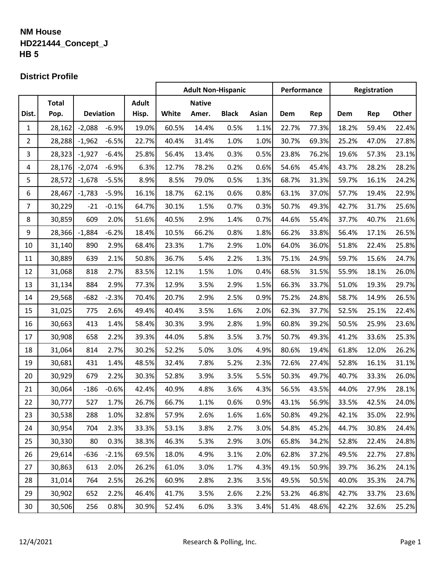## **NM House HD221444\_Concept\_J HB 5**

#### **District Profile**

|                |              |                  |         |              | <b>Adult Non-Hispanic</b> |               |              | Performance |       | Registration |       |       |       |
|----------------|--------------|------------------|---------|--------------|---------------------------|---------------|--------------|-------------|-------|--------------|-------|-------|-------|
|                | <b>Total</b> |                  |         | <b>Adult</b> |                           | <b>Native</b> |              |             |       |              |       |       |       |
| Dist.          | Pop.         | <b>Deviation</b> |         | Hisp.        | White                     | Amer.         | <b>Black</b> | Asian       | Dem   | Rep          | Dem   | Rep   | Other |
| 1              | 28,162       | $-2,088$         | $-6.9%$ | 19.0%        | 60.5%                     | 14.4%         | 0.5%         | 1.1%        | 22.7% | 77.3%        | 18.2% | 59.4% | 22.4% |
| $\overline{2}$ | 28,288       | $-1,962$         | $-6.5%$ | 22.7%        | 40.4%                     | 31.4%         | 1.0%         | 1.0%        | 30.7% | 69.3%        | 25.2% | 47.0% | 27.8% |
| 3              | 28,323       | $-1,927$         | $-6.4%$ | 25.8%        | 56.4%                     | 13.4%         | 0.3%         | 0.5%        | 23.8% | 76.2%        | 19.6% | 57.3% | 23.1% |
| 4              | 28,176       | $-2,074$         | $-6.9%$ | 6.3%         | 12.7%                     | 78.2%         | 0.2%         | 0.6%        | 54.6% | 45.4%        | 43.7% | 28.2% | 28.2% |
| 5              | 28,572       | $-1,678$         | $-5.5%$ | 8.9%         | 8.5%                      | 79.0%         | 0.5%         | 1.3%        | 68.7% | 31.3%        | 59.7% | 16.1% | 24.2% |
| 6              | 28,467       | $-1,783$         | $-5.9%$ | 16.1%        | 18.7%                     | 62.1%         | 0.6%         | 0.8%        | 63.1% | 37.0%        | 57.7% | 19.4% | 22.9% |
| 7              | 30,229       | $-21$            | $-0.1%$ | 64.7%        | 30.1%                     | 1.5%          | 0.7%         | 0.3%        | 50.7% | 49.3%        | 42.7% | 31.7% | 25.6% |
| 8              | 30,859       | 609              | 2.0%    | 51.6%        | 40.5%                     | 2.9%          | 1.4%         | 0.7%        | 44.6% | 55.4%        | 37.7% | 40.7% | 21.6% |
| 9              | 28,366       | $-1,884$         | $-6.2%$ | 18.4%        | 10.5%                     | 66.2%         | 0.8%         | 1.8%        | 66.2% | 33.8%        | 56.4% | 17.1% | 26.5% |
| 10             | 31,140       | 890              | 2.9%    | 68.4%        | 23.3%                     | 1.7%          | 2.9%         | 1.0%        | 64.0% | 36.0%        | 51.8% | 22.4% | 25.8% |
| 11             | 30,889       | 639              | 2.1%    | 50.8%        | 36.7%                     | 5.4%          | 2.2%         | 1.3%        | 75.1% | 24.9%        | 59.7% | 15.6% | 24.7% |
| 12             | 31,068       | 818              | 2.7%    | 83.5%        | 12.1%                     | 1.5%          | 1.0%         | 0.4%        | 68.5% | 31.5%        | 55.9% | 18.1% | 26.0% |
| 13             | 31,134       | 884              | 2.9%    | 77.3%        | 12.9%                     | 3.5%          | 2.9%         | 1.5%        | 66.3% | 33.7%        | 51.0% | 19.3% | 29.7% |
| 14             | 29,568       | $-682$           | $-2.3%$ | 70.4%        | 20.7%                     | 2.9%          | 2.5%         | 0.9%        | 75.2% | 24.8%        | 58.7% | 14.9% | 26.5% |
| 15             | 31,025       | 775              | 2.6%    | 49.4%        | 40.4%                     | 3.5%          | 1.6%         | 2.0%        | 62.3% | 37.7%        | 52.5% | 25.1% | 22.4% |
| 16             | 30,663       | 413              | 1.4%    | 58.4%        | 30.3%                     | 3.9%          | 2.8%         | 1.9%        | 60.8% | 39.2%        | 50.5% | 25.9% | 23.6% |
| 17             | 30,908       | 658              | 2.2%    | 39.3%        | 44.0%                     | 5.8%          | 3.5%         | 3.7%        | 50.7% | 49.3%        | 41.2% | 33.6% | 25.3% |
| 18             | 31,064       | 814              | 2.7%    | 30.2%        | 52.2%                     | 5.0%          | 3.0%         | 4.9%        | 80.6% | 19.4%        | 61.8% | 12.0% | 26.2% |
| 19             | 30,681       | 431              | 1.4%    | 48.5%        | 32.4%                     | 7.8%          | 5.2%         | 2.3%        | 72.6% | 27.4%        | 52.8% | 16.1% | 31.1% |
| 20             | 30,929       | 679              | 2.2%    | 30.3%        | 52.8%                     | 3.9%          | 3.5%         | 5.5%        | 50.3% | 49.7%        | 40.7% | 33.3% | 26.0% |
| 21             | 30,064       | $-186$           | $-0.6%$ | 42.4%        | 40.9%                     | 4.8%          | 3.6%         | 4.3%        | 56.5% | 43.5%        | 44.0% | 27.9% | 28.1% |
| 22             | 30,777       | 527              | 1.7%    | 26.7%        | 66.7%                     | 1.1%          | 0.6%         | 0.9%        | 43.1% | 56.9%        | 33.5% | 42.5% | 24.0% |
| 23             | 30,538       | 288              | 1.0%    | 32.8%        | 57.9%                     | 2.6%          | 1.6%         | 1.6%        | 50.8% | 49.2%        | 42.1% | 35.0% | 22.9% |
| 24             | 30,954       | 704              | 2.3%    | 33.3%        | 53.1%                     | 3.8%          | 2.7%         | 3.0%        | 54.8% | 45.2%        | 44.7% | 30.8% | 24.4% |
| 25             | 30,330       | 80               | 0.3%    | 38.3%        | 46.3%                     | 5.3%          | 2.9%         | 3.0%        | 65.8% | 34.2%        | 52.8% | 22.4% | 24.8% |
| 26             | 29,614       | $-636$           | $-2.1%$ | 69.5%        | 18.0%                     | 4.9%          | 3.1%         | 2.0%        | 62.8% | 37.2%        | 49.5% | 22.7% | 27.8% |
| 27             | 30,863       | 613              | 2.0%    | 26.2%        | 61.0%                     | 3.0%          | 1.7%         | 4.3%        | 49.1% | 50.9%        | 39.7% | 36.2% | 24.1% |
| 28             | 31,014       | 764              | 2.5%    | 26.2%        | 60.9%                     | 2.8%          | 2.3%         | 3.5%        | 49.5% | 50.5%        | 40.0% | 35.3% | 24.7% |
| 29             | 30,902       | 652              | 2.2%    | 46.4%        | 41.7%                     | 3.5%          | 2.6%         | 2.2%        | 53.2% | 46.8%        | 42.7% | 33.7% | 23.6% |
| 30             | 30,506       | 256              | 0.8%    | 30.9%        | 52.4%                     | 6.0%          | 3.3%         | 3.4%        | 51.4% | 48.6%        | 42.2% | 32.6% | 25.2% |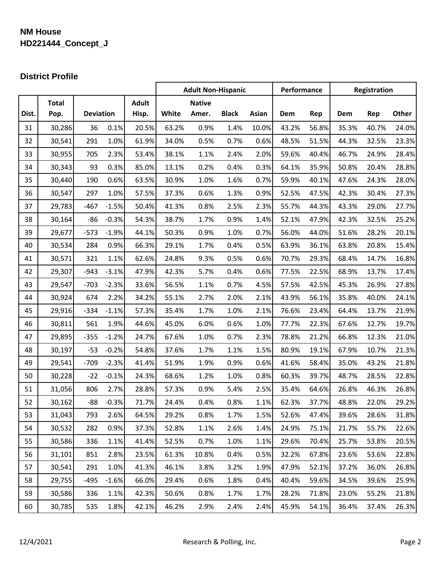# **NM House HD221444\_Concept\_J**

### **District Profile**

|       |              |                  |         |              | <b>Adult Non-Hispanic</b> |               | Performance  |       | Registration |       |       |       |       |
|-------|--------------|------------------|---------|--------------|---------------------------|---------------|--------------|-------|--------------|-------|-------|-------|-------|
|       | <b>Total</b> |                  |         | <b>Adult</b> |                           | <b>Native</b> |              |       |              |       |       |       |       |
| Dist. | Pop.         | <b>Deviation</b> |         | Hisp.        | White                     | Amer.         | <b>Black</b> | Asian | Dem          | Rep   | Dem   | Rep   | Other |
| 31    | 30,286       | 36               | 0.1%    | 20.5%        | 63.2%                     | 0.9%          | 1.4%         | 10.0% | 43.2%        | 56.8% | 35.3% | 40.7% | 24.0% |
| 32    | 30,541       | 291              | 1.0%    | 61.9%        | 34.0%                     | 0.5%          | 0.7%         | 0.6%  | 48.5%        | 51.5% | 44.3% | 32.5% | 23.3% |
| 33    | 30,955       | 705              | 2.3%    | 53.4%        | 38.1%                     | 1.1%          | 2.4%         | 2.0%  | 59.6%        | 40.4% | 46.7% | 24.9% | 28.4% |
| 34    | 30,343       | 93               | 0.3%    | 85.0%        | 13.1%                     | 0.2%          | 0.4%         | 0.3%  | 64.1%        | 35.9% | 50.8% | 20.4% | 28.8% |
| 35    | 30,440       | 190              | 0.6%    | 63.5%        | 30.9%                     | 1.0%          | 1.6%         | 0.7%  | 59.9%        | 40.1% | 47.6% | 24.3% | 28.0% |
| 36    | 30,547       | 297              | 1.0%    | 57.5%        | 37.3%                     | 0.6%          | 1.3%         | 0.9%  | 52.5%        | 47.5% | 42.3% | 30.4% | 27.3% |
| 37    | 29,783       | $-467$           | $-1.5%$ | 50.4%        | 41.3%                     | 0.8%          | 2.5%         | 2.3%  | 55.7%        | 44.3% | 43.3% | 29.0% | 27.7% |
| 38    | 30,164       | $-86$            | $-0.3%$ | 54.3%        | 38.7%                     | 1.7%          | 0.9%         | 1.4%  | 52.1%        | 47.9% | 42.3% | 32.5% | 25.2% |
| 39    | 29,677       | $-573$           | $-1.9%$ | 44.1%        | 50.3%                     | 0.9%          | 1.0%         | 0.7%  | 56.0%        | 44.0% | 51.6% | 28.2% | 20.1% |
| 40    | 30,534       | 284              | 0.9%    | 66.3%        | 29.1%                     | 1.7%          | 0.4%         | 0.5%  | 63.9%        | 36.1% | 63.8% | 20.8% | 15.4% |
| 41    | 30,571       | 321              | 1.1%    | 62.6%        | 24.8%                     | 9.3%          | 0.5%         | 0.6%  | 70.7%        | 29.3% | 68.4% | 14.7% | 16.8% |
| 42    | 29,307       | $-943$           | $-3.1%$ | 47.9%        | 42.3%                     | 5.7%          | 0.4%         | 0.6%  | 77.5%        | 22.5% | 68.9% | 13.7% | 17.4% |
| 43    | 29,547       | $-703$           | $-2.3%$ | 33.6%        | 56.5%                     | 1.1%          | 0.7%         | 4.5%  | 57.5%        | 42.5% | 45.3% | 26.9% | 27.8% |
| 44    | 30,924       | 674              | 2.2%    | 34.2%        | 55.1%                     | 2.7%          | 2.0%         | 2.1%  | 43.9%        | 56.1% | 35.8% | 40.0% | 24.1% |
| 45    | 29,916       | $-334$           | $-1.1%$ | 57.3%        | 35.4%                     | 1.7%          | 1.0%         | 2.1%  | 76.6%        | 23.4% | 64.4% | 13.7% | 21.9% |
| 46    | 30,811       | 561              | 1.9%    | 44.6%        | 45.0%                     | 6.0%          | 0.6%         | 1.0%  | 77.7%        | 22.3% | 67.6% | 12.7% | 19.7% |
| 47    | 29,895       | $-355$           | $-1.2%$ | 24.7%        | 67.6%                     | 1.0%          | 0.7%         | 2.3%  | 78.8%        | 21.2% | 66.8% | 12.3% | 21.0% |
| 48    | 30,197       | $-53$            | $-0.2%$ | 54.8%        | 37.6%                     | 1.7%          | 1.1%         | 1.5%  | 80.9%        | 19.1% | 67.9% | 10.7% | 21.3% |
| 49    | 29,541       | $-709$           | $-2.3%$ | 41.4%        | 51.9%                     | 1.9%          | 0.9%         | 0.6%  | 41.6%        | 58.4% | 35.0% | 43.2% | 21.8% |
| 50    | 30,228       | $-22$            | $-0.1%$ | 24.3%        | 68.6%                     | 1.2%          | 1.0%         | 0.8%  | 60.3%        | 39.7% | 48.7% | 28.5% | 22.8% |
| 51    | 31,056       | 806              | 2.7%    | 28.8%        | 57.3%                     | 0.9%          | 5.4%         | 2.5%  | 35.4%        | 64.6% | 26.8% | 46.3% | 26.8% |
| 52    | 30,162       | $-88$            | $-0.3%$ | 71.7%        | 24.4%                     | 0.4%          | 0.8%         | 1.1%  | 62.3%        | 37.7% | 48.8% | 22.0% | 29.2% |
| 53    | 31,043       | 793              | 2.6%    | 64.5%        | 29.2%                     | 0.8%          | 1.7%         | 1.5%  | 52.6%        | 47.4% | 39.6% | 28.6% | 31.8% |
| 54    | 30,532       | 282              | 0.9%    | 37.3%        | 52.8%                     | 1.1%          | 2.6%         | 1.4%  | 24.9%        | 75.1% | 21.7% | 55.7% | 22.6% |
| 55    | 30,586       | 336              | 1.1%    | 41.4%        | 52.5%                     | 0.7%          | 1.0%         | 1.1%  | 29.6%        | 70.4% | 25.7% | 53.8% | 20.5% |
| 56    | 31,101       | 851              | 2.8%    | 23.5%        | 61.3%                     | 10.8%         | 0.4%         | 0.5%  | 32.2%        | 67.8% | 23.6% | 53.6% | 22.8% |
| 57    | 30,541       | 291              | 1.0%    | 41.3%        | 46.1%                     | 3.8%          | 3.2%         | 1.9%  | 47.9%        | 52.1% | 37.2% | 36.0% | 26.8% |
| 58    | 29,755       | $-495$           | $-1.6%$ | 66.0%        | 29.4%                     | 0.6%          | 1.8%         | 0.4%  | 40.4%        | 59.6% | 34.5% | 39.6% | 25.9% |
| 59    | 30,586       | 336              | 1.1%    | 42.3%        | 50.6%                     | 0.8%          | 1.7%         | 1.7%  | 28.2%        | 71.8% | 23.0% | 55.2% | 21.8% |
| 60    | 30,785       | 535              | 1.8%    | 42.1%        | 46.2%                     | 2.9%          | 2.4%         | 2.4%  | 45.9%        | 54.1% | 36.4% | 37.4% | 26.3% |